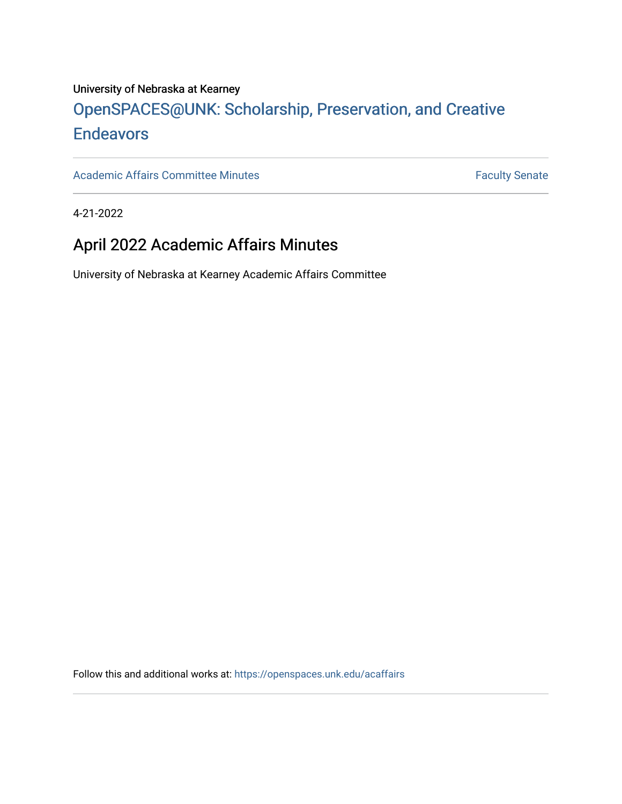### University of Nebraska at Kearney

# OpenSPACES@UNK: Scholarship, Preservation, and Creative **[Endeavors](https://openspaces.unk.edu/)**

[Academic Affairs Committee Minutes](https://openspaces.unk.edu/acaffairs) **Faculty** Senate

4-21-2022

## April 2022 Academic Affairs Minutes

University of Nebraska at Kearney Academic Affairs Committee

Follow this and additional works at: [https://openspaces.unk.edu/acaffairs](https://openspaces.unk.edu/acaffairs?utm_source=openspaces.unk.edu%2Facaffairs%2F48&utm_medium=PDF&utm_campaign=PDFCoverPages)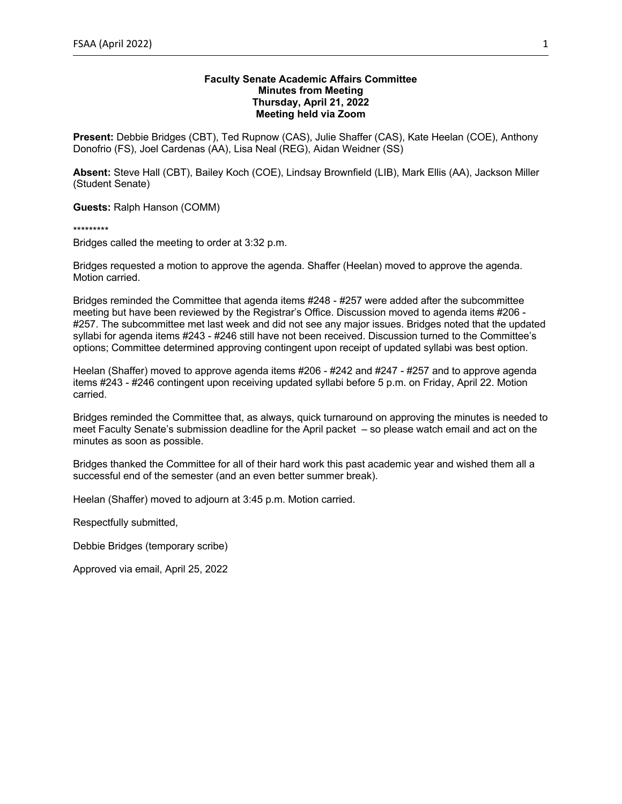#### **Faculty Senate Academic Affairs Committee Minutes from Meeting Thursday, April 21, 2022 Meeting held via Zoom**

**Present:** Debbie Bridges (CBT), Ted Rupnow (CAS), Julie Shaffer (CAS), Kate Heelan (COE), Anthony Donofrio (FS), Joel Cardenas (AA), Lisa Neal (REG), Aidan Weidner (SS)

**Absent:** Steve Hall (CBT), Bailey Koch (COE), Lindsay Brownfield (LIB), Mark Ellis (AA), Jackson Miller (Student Senate)

**Guests:** Ralph Hanson (COMM)

\*\*\*\*\*\*\*\*\*

Bridges called the meeting to order at 3:32 p.m.

Bridges requested a motion to approve the agenda. Shaffer (Heelan) moved to approve the agenda. Motion carried.

Bridges reminded the Committee that agenda items #248 - #257 were added after the subcommittee meeting but have been reviewed by the Registrar's Office. Discussion moved to agenda items #206 - #257. The subcommittee met last week and did not see any major issues. Bridges noted that the updated syllabi for agenda items #243 - #246 still have not been received. Discussion turned to the Committee's options; Committee determined approving contingent upon receipt of updated syllabi was best option.

Heelan (Shaffer) moved to approve agenda items #206 - #242 and #247 - #257 and to approve agenda items #243 - #246 contingent upon receiving updated syllabi before 5 p.m. on Friday, April 22. Motion carried.

Bridges reminded the Committee that, as always, quick turnaround on approving the minutes is needed to meet Faculty Senate's submission deadline for the April packet – so please watch email and act on the minutes as soon as possible.

Bridges thanked the Committee for all of their hard work this past academic year and wished them all a successful end of the semester (and an even better summer break).

Heelan (Shaffer) moved to adjourn at 3:45 p.m. Motion carried.

Respectfully submitted,

Debbie Bridges (temporary scribe)

Approved via email, April 25, 2022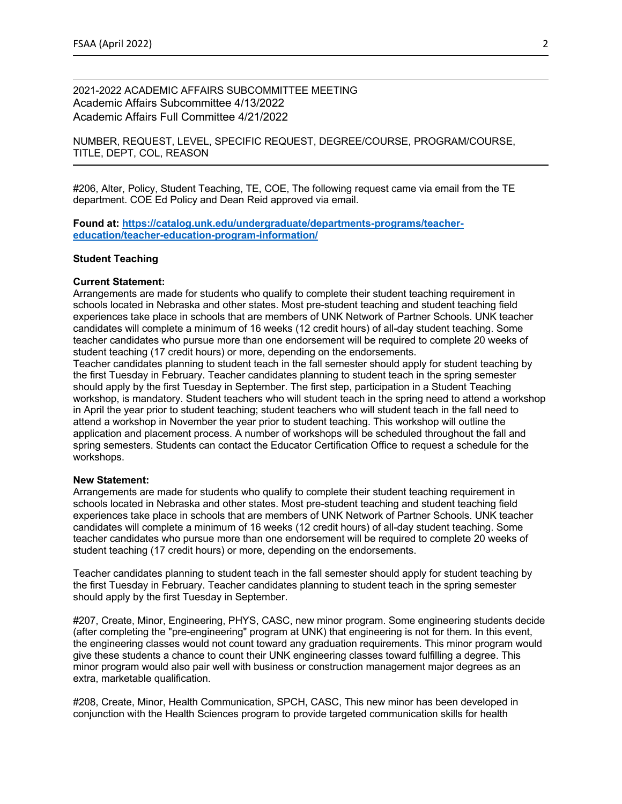2021-2022 ACADEMIC AFFAIRS SUBCOMMITTEE MEETING Academic Affairs Subcommittee 4/13/2022 Academic Affairs Full Committee 4/21/2022

NUMBER, REQUEST, LEVEL, SPECIFIC REQUEST, DEGREE/COURSE, PROGRAM/COURSE, TITLE, DEPT, COL, REASON

#206, Alter, Policy, Student Teaching, TE, COE, The following request came via email from the TE department. COE Ed Policy and Dean Reid approved via email.

**Found at: https://catalog.unk.edu/undergraduate/departments-programs/teachereducation/teacher-education-program-information/**

#### **Student Teaching**

#### **Current Statement:**

Arrangements are made for students who qualify to complete their student teaching requirement in schools located in Nebraska and other states. Most pre-student teaching and student teaching field experiences take place in schools that are members of UNK Network of Partner Schools. UNK teacher candidates will complete a minimum of 16 weeks (12 credit hours) of all-day student teaching. Some teacher candidates who pursue more than one endorsement will be required to complete 20 weeks of student teaching (17 credit hours) or more, depending on the endorsements.

Teacher candidates planning to student teach in the fall semester should apply for student teaching by the first Tuesday in February. Teacher candidates planning to student teach in the spring semester should apply by the first Tuesday in September. The first step, participation in a Student Teaching workshop, is mandatory. Student teachers who will student teach in the spring need to attend a workshop in April the year prior to student teaching; student teachers who will student teach in the fall need to attend a workshop in November the year prior to student teaching. This workshop will outline the application and placement process. A number of workshops will be scheduled throughout the fall and spring semesters. Students can contact the Educator Certification Office to request a schedule for the workshops.

#### **New Statement:**

Arrangements are made for students who qualify to complete their student teaching requirement in schools located in Nebraska and other states. Most pre-student teaching and student teaching field experiences take place in schools that are members of UNK Network of Partner Schools. UNK teacher candidates will complete a minimum of 16 weeks (12 credit hours) of all-day student teaching. Some teacher candidates who pursue more than one endorsement will be required to complete 20 weeks of student teaching (17 credit hours) or more, depending on the endorsements.

Teacher candidates planning to student teach in the fall semester should apply for student teaching by the first Tuesday in February. Teacher candidates planning to student teach in the spring semester should apply by the first Tuesday in September.

#207, Create, Minor, Engineering, PHYS, CASC, new minor program. Some engineering students decide (after completing the "pre-engineering" program at UNK) that engineering is not for them. In this event, the engineering classes would not count toward any graduation requirements. This minor program would give these students a chance to count their UNK engineering classes toward fulfilling a degree. This minor program would also pair well with business or construction management major degrees as an extra, marketable qualification.

#208, Create, Minor, Health Communication, SPCH, CASC, This new minor has been developed in conjunction with the Health Sciences program to provide targeted communication skills for health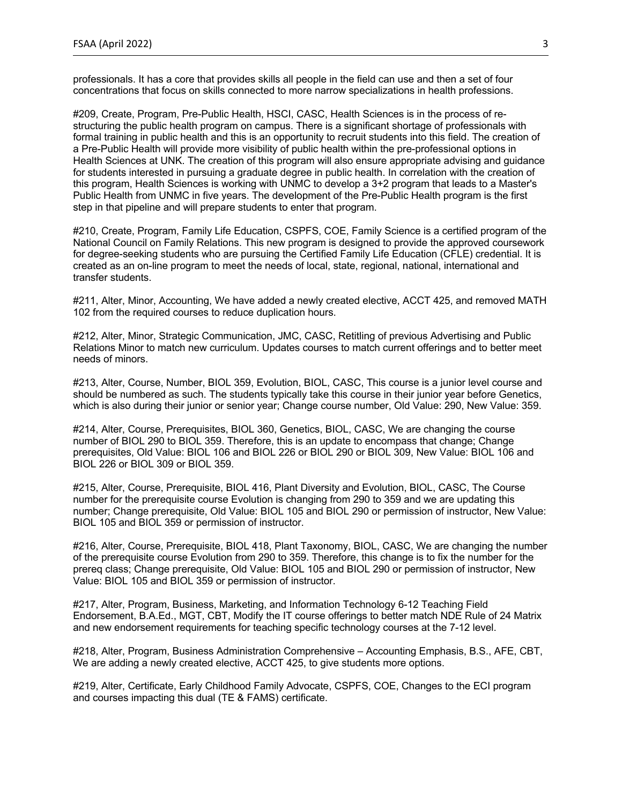professionals. It has a core that provides skills all people in the field can use and then a set of four concentrations that focus on skills connected to more narrow specializations in health professions.

#209, Create, Program, Pre-Public Health, HSCI, CASC, Health Sciences is in the process of restructuring the public health program on campus. There is a significant shortage of professionals with formal training in public health and this is an opportunity to recruit students into this field. The creation of a Pre-Public Health will provide more visibility of public health within the pre-professional options in Health Sciences at UNK. The creation of this program will also ensure appropriate advising and guidance for students interested in pursuing a graduate degree in public health. In correlation with the creation of this program, Health Sciences is working with UNMC to develop a 3+2 program that leads to a Master's Public Health from UNMC in five years. The development of the Pre-Public Health program is the first step in that pipeline and will prepare students to enter that program.

#210, Create, Program, Family Life Education, CSPFS, COE, Family Science is a certified program of the National Council on Family Relations. This new program is designed to provide the approved coursework for degree-seeking students who are pursuing the Certified Family Life Education (CFLE) credential. It is created as an on-line program to meet the needs of local, state, regional, national, international and transfer students.

#211, Alter, Minor, Accounting, We have added a newly created elective, ACCT 425, and removed MATH 102 from the required courses to reduce duplication hours.

#212, Alter, Minor, Strategic Communication, JMC, CASC, Retitling of previous Advertising and Public Relations Minor to match new curriculum. Updates courses to match current offerings and to better meet needs of minors.

#213, Alter, Course, Number, BIOL 359, Evolution, BIOL, CASC, This course is a junior level course and should be numbered as such. The students typically take this course in their junior year before Genetics, which is also during their junior or senior year; Change course number, Old Value: 290, New Value: 359.

#214, Alter, Course, Prerequisites, BIOL 360, Genetics, BIOL, CASC, We are changing the course number of BIOL 290 to BIOL 359. Therefore, this is an update to encompass that change; Change prerequisites, Old Value: BIOL 106 and BIOL 226 or BIOL 290 or BIOL 309, New Value: BIOL 106 and BIOL 226 or BIOL 309 or BIOL 359.

#215, Alter, Course, Prerequisite, BIOL 416, Plant Diversity and Evolution, BIOL, CASC, The Course number for the prerequisite course Evolution is changing from 290 to 359 and we are updating this number; Change prerequisite, Old Value: BIOL 105 and BIOL 290 or permission of instructor, New Value: BIOL 105 and BIOL 359 or permission of instructor.

#216, Alter, Course, Prerequisite, BIOL 418, Plant Taxonomy, BIOL, CASC, We are changing the number of the prerequisite course Evolution from 290 to 359. Therefore, this change is to fix the number for the prereq class; Change prerequisite, Old Value: BIOL 105 and BIOL 290 or permission of instructor, New Value: BIOL 105 and BIOL 359 or permission of instructor.

#217, Alter, Program, Business, Marketing, and Information Technology 6-12 Teaching Field Endorsement, B.A.Ed., MGT, CBT, Modify the IT course offerings to better match NDE Rule of 24 Matrix and new endorsement requirements for teaching specific technology courses at the 7-12 level.

#218, Alter, Program, Business Administration Comprehensive – Accounting Emphasis, B.S., AFE, CBT, We are adding a newly created elective, ACCT 425, to give students more options.

#219, Alter, Certificate, Early Childhood Family Advocate, CSPFS, COE, Changes to the ECI program and courses impacting this dual (TE & FAMS) certificate.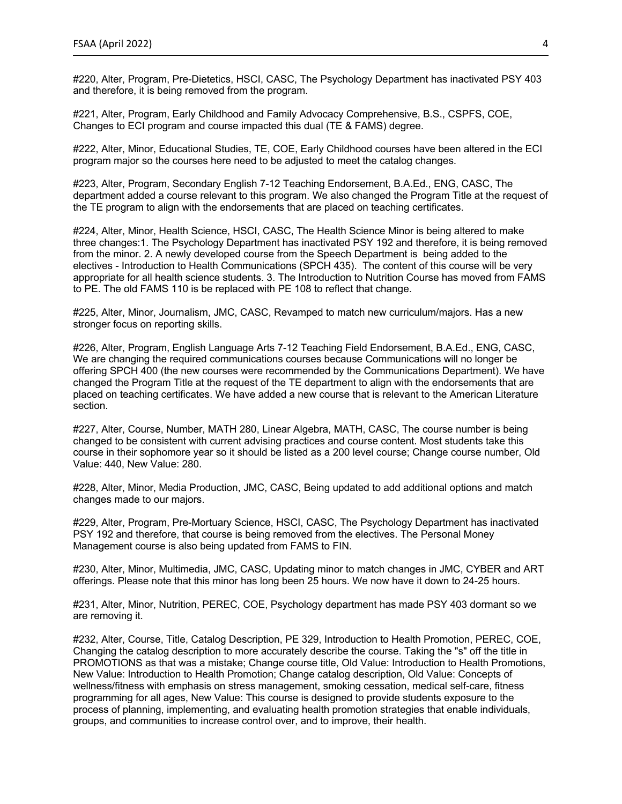#220, Alter, Program, Pre-Dietetics, HSCI, CASC, The Psychology Department has inactivated PSY 403 and therefore, it is being removed from the program.

#221, Alter, Program, Early Childhood and Family Advocacy Comprehensive, B.S., CSPFS, COE, Changes to ECI program and course impacted this dual (TE & FAMS) degree.

#222, Alter, Minor, Educational Studies, TE, COE, Early Childhood courses have been altered in the ECI program major so the courses here need to be adjusted to meet the catalog changes.

#223, Alter, Program, Secondary English 7-12 Teaching Endorsement, B.A.Ed., ENG, CASC, The department added a course relevant to this program. We also changed the Program Title at the request of the TE program to align with the endorsements that are placed on teaching certificates.

#224, Alter, Minor, Health Science, HSCI, CASC, The Health Science Minor is being altered to make three changes:1. The Psychology Department has inactivated PSY 192 and therefore, it is being removed from the minor. 2. A newly developed course from the Speech Department is being added to the electives - Introduction to Health Communications (SPCH 435). The content of this course will be very appropriate for all health science students. 3. The Introduction to Nutrition Course has moved from FAMS to PE. The old FAMS 110 is be replaced with PE 108 to reflect that change.

#225, Alter, Minor, Journalism, JMC, CASC, Revamped to match new curriculum/majors. Has a new stronger focus on reporting skills.

#226, Alter, Program, English Language Arts 7-12 Teaching Field Endorsement, B.A.Ed., ENG, CASC, We are changing the required communications courses because Communications will no longer be offering SPCH 400 (the new courses were recommended by the Communications Department). We have changed the Program Title at the request of the TE department to align with the endorsements that are placed on teaching certificates. We have added a new course that is relevant to the American Literature section.

#227, Alter, Course, Number, MATH 280, Linear Algebra, MATH, CASC, The course number is being changed to be consistent with current advising practices and course content. Most students take this course in their sophomore year so it should be listed as a 200 level course; Change course number, Old Value: 440, New Value: 280.

#228, Alter, Minor, Media Production, JMC, CASC, Being updated to add additional options and match changes made to our majors.

#229, Alter, Program, Pre-Mortuary Science, HSCI, CASC, The Psychology Department has inactivated PSY 192 and therefore, that course is being removed from the electives. The Personal Money Management course is also being updated from FAMS to FIN.

#230, Alter, Minor, Multimedia, JMC, CASC, Updating minor to match changes in JMC, CYBER and ART offerings. Please note that this minor has long been 25 hours. We now have it down to 24-25 hours.

#231, Alter, Minor, Nutrition, PEREC, COE, Psychology department has made PSY 403 dormant so we are removing it.

#232, Alter, Course, Title, Catalog Description, PE 329, Introduction to Health Promotion, PEREC, COE, Changing the catalog description to more accurately describe the course. Taking the "s" off the title in PROMOTIONS as that was a mistake; Change course title, Old Value: Introduction to Health Promotions, New Value: Introduction to Health Promotion; Change catalog description, Old Value: Concepts of wellness/fitness with emphasis on stress management, smoking cessation, medical self-care, fitness programming for all ages, New Value: This course is designed to provide students exposure to the process of planning, implementing, and evaluating health promotion strategies that enable individuals, groups, and communities to increase control over, and to improve, their health.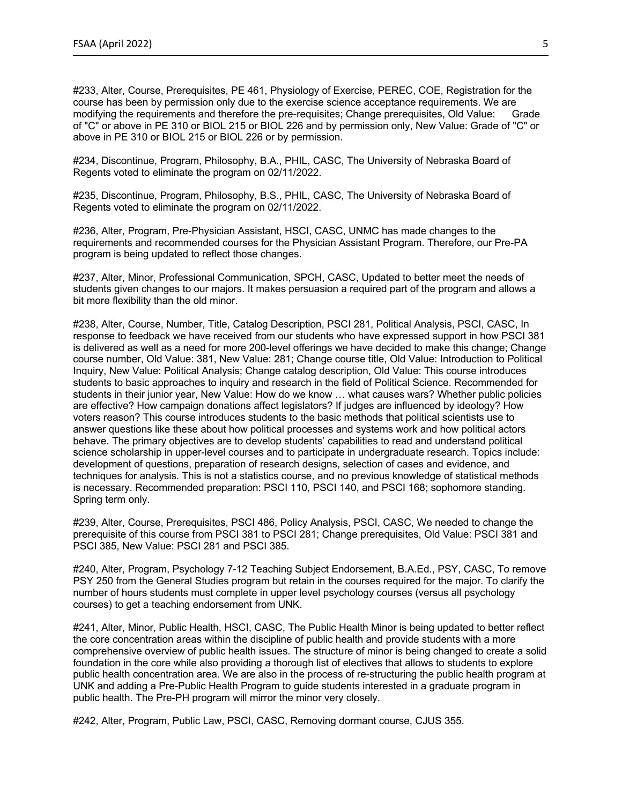#233, Alter, Course, Prerequisites, PE 461, Physiology of Exercise, PEREC, COE, Registration for the course has been by permission only due to the exercise science acceptance requirements. We are modifying the requirements and therefore the pre-requisites; Change prerequisites, Old Value: Grade of "C" or above in PE 310 or BIOL 215 or BIOL 226 and by permission only, New Value: Grade of "C" or above in PE 310 or BIOL 215 or BIOL 226 or by permission.

#234, Discontinue, Program, Philosophy, B.A., PHIL, CASC, The University of Nebraska Board of Regents voted to eliminate the program on 02/11/2022.

#235, Discontinue, Program, Philosophy, B.S., PHIL, CASC, The University of Nebraska Board of Regents voted to eliminate the program on 02/11/2022.

#236, Alter, Program, Pre-Physician Assistant, HSCI, CASC, UNMC has made changes to the requirements and recommended courses for the Physician Assistant Program. Therefore, our Pre-PA program is being updated to reflect those changes.

#237, Alter, Minor, Professional Communication, SPCH, CASC, Updated to better meet the needs of students given changes to our majors. It makes persuasion a required part of the program and allows a bit more flexibility than the old minor.

#238, Alter, Course, Number, Title, Catalog Description, PSCI 281, Political Analysis, PSCI, CASC, In response to feedback we have received from our students who have expressed support in how PSCI 381 is delivered as well as a need for more 200-level offerings we have decided to make this change; Change course number, Old Value: 381, New Value: 281; Change course title, Old Value: Introduction to Political Inquiry, New Value: Political Analysis; Change catalog description, Old Value: This course introduces students to basic approaches to inquiry and research in the field of Political Science. Recommended for students in their junior year, New Value: How do we know … what causes wars? Whether public policies are effective? How campaign donations affect legislators? If judges are influenced by ideology? How voters reason? This course introduces students to the basic methods that political scientists use to answer questions like these about how political processes and systems work and how political actors behave. The primary objectives are to develop students' capabilities to read and understand political science scholarship in upper-level courses and to participate in undergraduate research. Topics include: development of questions, preparation of research designs, selection of cases and evidence, and techniques for analysis. This is not a statistics course, and no previous knowledge of statistical methods is necessary. Recommended preparation: PSCI 110, PSCI 140, and PSCI 168; sophomore standing. Spring term only.

#239, Alter, Course, Prerequisites, PSCI 486, Policy Analysis, PSCI, CASC, We needed to change the prerequisite of this course from PSCI 381 to PSCI 281; Change prerequisites, Old Value: PSCI 381 and PSCI 385, New Value: PSCI 281 and PSCI 385.

#240, Alter, Program, Psychology 7-12 Teaching Subject Endorsement, B.A.Ed., PSY, CASC, To remove PSY 250 from the General Studies program but retain in the courses required for the major. To clarify the number of hours students must complete in upper level psychology courses (versus all psychology courses) to get a teaching endorsement from UNK.

#241, Alter, Minor, Public Health, HSCI, CASC, The Public Health Minor is being updated to better reflect the core concentration areas within the discipline of public health and provide students with a more comprehensive overview of public health issues. The structure of minor is being changed to create a solid foundation in the core while also providing a thorough list of electives that allows to students to explore public health concentration area. We are also in the process of re-structuring the public health program at UNK and adding a Pre-Public Health Program to guide students interested in a graduate program in public health. The Pre-PH program will mirror the minor very closely.

#242, Alter, Program, Public Law, PSCI, CASC, Removing dormant course, CJUS 355.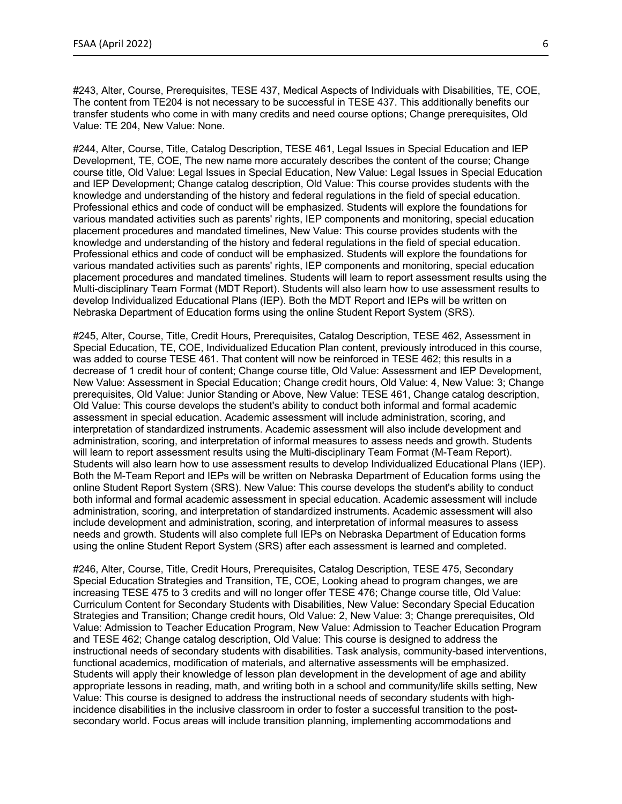#243, Alter, Course, Prerequisites, TESE 437, Medical Aspects of Individuals with Disabilities, TE, COE, The content from TE204 is not necessary to be successful in TESE 437. This additionally benefits our transfer students who come in with many credits and need course options; Change prerequisites, Old Value: TE 204, New Value: None.

#244, Alter, Course, Title, Catalog Description, TESE 461, Legal Issues in Special Education and IEP Development, TE, COE, The new name more accurately describes the content of the course; Change course title, Old Value: Legal Issues in Special Education, New Value: Legal Issues in Special Education and IEP Development; Change catalog description, Old Value: This course provides students with the knowledge and understanding of the history and federal regulations in the field of special education. Professional ethics and code of conduct will be emphasized. Students will explore the foundations for various mandated activities such as parents' rights, IEP components and monitoring, special education placement procedures and mandated timelines, New Value: This course provides students with the knowledge and understanding of the history and federal regulations in the field of special education. Professional ethics and code of conduct will be emphasized. Students will explore the foundations for various mandated activities such as parents' rights, IEP components and monitoring, special education placement procedures and mandated timelines. Students will learn to report assessment results using the Multi-disciplinary Team Format (MDT Report). Students will also learn how to use assessment results to develop Individualized Educational Plans (IEP). Both the MDT Report and IEPs will be written on Nebraska Department of Education forms using the online Student Report System (SRS).

#245, Alter, Course, Title, Credit Hours, Prerequisites, Catalog Description, TESE 462, Assessment in Special Education, TE, COE, Individualized Education Plan content, previously introduced in this course, was added to course TESE 461. That content will now be reinforced in TESE 462; this results in a decrease of 1 credit hour of content; Change course title, Old Value: Assessment and IEP Development, New Value: Assessment in Special Education; Change credit hours, Old Value: 4, New Value: 3; Change prerequisites, Old Value: Junior Standing or Above, New Value: TESE 461, Change catalog description, Old Value: This course develops the student's ability to conduct both informal and formal academic assessment in special education. Academic assessment will include administration, scoring, and interpretation of standardized instruments. Academic assessment will also include development and administration, scoring, and interpretation of informal measures to assess needs and growth. Students will learn to report assessment results using the Multi-disciplinary Team Format (M-Team Report). Students will also learn how to use assessment results to develop Individualized Educational Plans (IEP). Both the M-Team Report and IEPs will be written on Nebraska Department of Education forms using the online Student Report System (SRS). New Value: This course develops the student's ability to conduct both informal and formal academic assessment in special education. Academic assessment will include administration, scoring, and interpretation of standardized instruments. Academic assessment will also include development and administration, scoring, and interpretation of informal measures to assess needs and growth. Students will also complete full IEPs on Nebraska Department of Education forms using the online Student Report System (SRS) after each assessment is learned and completed.

#246, Alter, Course, Title, Credit Hours, Prerequisites, Catalog Description, TESE 475, Secondary Special Education Strategies and Transition, TE, COE, Looking ahead to program changes, we are increasing TESE 475 to 3 credits and will no longer offer TESE 476; Change course title, Old Value: Curriculum Content for Secondary Students with Disabilities, New Value: Secondary Special Education Strategies and Transition; Change credit hours, Old Value: 2, New Value: 3; Change prerequisites, Old Value: Admission to Teacher Education Program, New Value: Admission to Teacher Education Program and TESE 462; Change catalog description, Old Value: This course is designed to address the instructional needs of secondary students with disabilities. Task analysis, community-based interventions, functional academics, modification of materials, and alternative assessments will be emphasized. Students will apply their knowledge of lesson plan development in the development of age and ability appropriate lessons in reading, math, and writing both in a school and community/life skills setting, New Value: This course is designed to address the instructional needs of secondary students with highincidence disabilities in the inclusive classroom in order to foster a successful transition to the postsecondary world. Focus areas will include transition planning, implementing accommodations and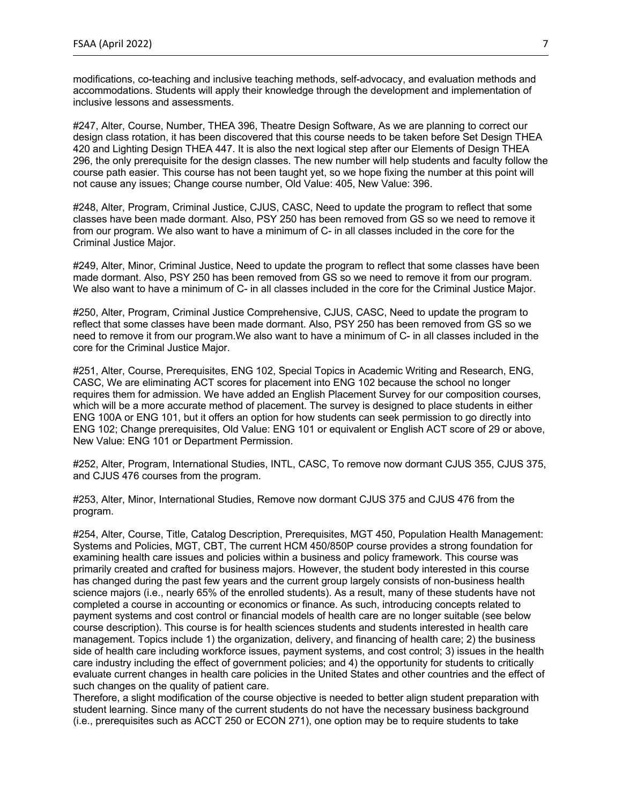modifications, co-teaching and inclusive teaching methods, self-advocacy, and evaluation methods and accommodations. Students will apply their knowledge through the development and implementation of inclusive lessons and assessments.

#247, Alter, Course, Number, THEA 396, Theatre Design Software, As we are planning to correct our design class rotation, it has been discovered that this course needs to be taken before Set Design THEA 420 and Lighting Design THEA 447. It is also the next logical step after our Elements of Design THEA 296, the only prerequisite for the design classes. The new number will help students and faculty follow the course path easier. This course has not been taught yet, so we hope fixing the number at this point will not cause any issues; Change course number, Old Value: 405, New Value: 396.

#248, Alter, Program, Criminal Justice, CJUS, CASC, Need to update the program to reflect that some classes have been made dormant. Also, PSY 250 has been removed from GS so we need to remove it from our program. We also want to have a minimum of C- in all classes included in the core for the Criminal Justice Major.

#249, Alter, Minor, Criminal Justice, Need to update the program to reflect that some classes have been made dormant. Also, PSY 250 has been removed from GS so we need to remove it from our program. We also want to have a minimum of C- in all classes included in the core for the Criminal Justice Major.

#250, Alter, Program, Criminal Justice Comprehensive, CJUS, CASC, Need to update the program to reflect that some classes have been made dormant. Also, PSY 250 has been removed from GS so we need to remove it from our program.We also want to have a minimum of C- in all classes included in the core for the Criminal Justice Major.

#251, Alter, Course, Prerequisites, ENG 102, Special Topics in Academic Writing and Research, ENG, CASC, We are eliminating ACT scores for placement into ENG 102 because the school no longer requires them for admission. We have added an English Placement Survey for our composition courses, which will be a more accurate method of placement. The survey is designed to place students in either ENG 100A or ENG 101, but it offers an option for how students can seek permission to go directly into ENG 102; Change prerequisites, Old Value: ENG 101 or equivalent or English ACT score of 29 or above, New Value: ENG 101 or Department Permission.

#252, Alter, Program, International Studies, INTL, CASC, To remove now dormant CJUS 355, CJUS 375, and CJUS 476 courses from the program.

#253, Alter, Minor, International Studies, Remove now dormant CJUS 375 and CJUS 476 from the program.

#254, Alter, Course, Title, Catalog Description, Prerequisites, MGT 450, Population Health Management: Systems and Policies, MGT, CBT, The current HCM 450/850P course provides a strong foundation for examining health care issues and policies within a business and policy framework. This course was primarily created and crafted for business majors. However, the student body interested in this course has changed during the past few years and the current group largely consists of non-business health science majors (i.e., nearly 65% of the enrolled students). As a result, many of these students have not completed a course in accounting or economics or finance. As such, introducing concepts related to payment systems and cost control or financial models of health care are no longer suitable (see below course description). This course is for health sciences students and students interested in health care management. Topics include 1) the organization, delivery, and financing of health care; 2) the business side of health care including workforce issues, payment systems, and cost control; 3) issues in the health care industry including the effect of government policies; and 4) the opportunity for students to critically evaluate current changes in health care policies in the United States and other countries and the effect of such changes on the quality of patient care.

Therefore, a slight modification of the course objective is needed to better align student preparation with student learning. Since many of the current students do not have the necessary business background (i.e., prerequisites such as ACCT 250 or ECON 271), one option may be to require students to take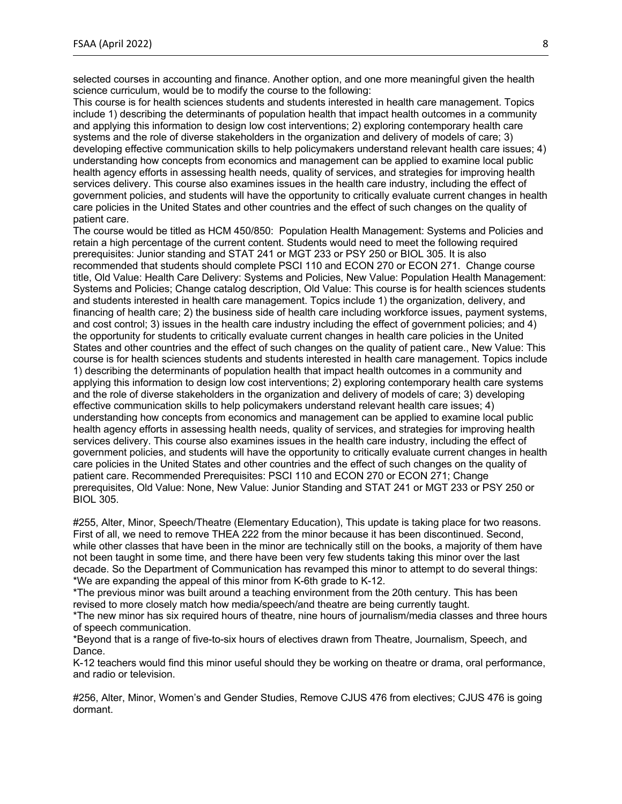selected courses in accounting and finance. Another option, and one more meaningful given the health science curriculum, would be to modify the course to the following:

This course is for health sciences students and students interested in health care management. Topics include 1) describing the determinants of population health that impact health outcomes in a community and applying this information to design low cost interventions; 2) exploring contemporary health care systems and the role of diverse stakeholders in the organization and delivery of models of care; 3) developing effective communication skills to help policymakers understand relevant health care issues; 4) understanding how concepts from economics and management can be applied to examine local public health agency efforts in assessing health needs, quality of services, and strategies for improving health services delivery. This course also examines issues in the health care industry, including the effect of government policies, and students will have the opportunity to critically evaluate current changes in health care policies in the United States and other countries and the effect of such changes on the quality of patient care.

The course would be titled as HCM 450/850: Population Health Management: Systems and Policies and retain a high percentage of the current content. Students would need to meet the following required prerequisites: Junior standing and STAT 241 or MGT 233 or PSY 250 or BIOL 305. It is also recommended that students should complete PSCI 110 and ECON 270 or ECON 271. Change course title, Old Value: Health Care Delivery: Systems and Policies, New Value: Population Health Management: Systems and Policies; Change catalog description, Old Value: This course is for health sciences students and students interested in health care management. Topics include 1) the organization, delivery, and financing of health care; 2) the business side of health care including workforce issues, payment systems, and cost control; 3) issues in the health care industry including the effect of government policies; and 4) the opportunity for students to critically evaluate current changes in health care policies in the United States and other countries and the effect of such changes on the quality of patient care., New Value: This course is for health sciences students and students interested in health care management. Topics include 1) describing the determinants of population health that impact health outcomes in a community and applying this information to design low cost interventions; 2) exploring contemporary health care systems and the role of diverse stakeholders in the organization and delivery of models of care; 3) developing effective communication skills to help policymakers understand relevant health care issues; 4) understanding how concepts from economics and management can be applied to examine local public health agency efforts in assessing health needs, quality of services, and strategies for improving health services delivery. This course also examines issues in the health care industry, including the effect of government policies, and students will have the opportunity to critically evaluate current changes in health care policies in the United States and other countries and the effect of such changes on the quality of patient care. Recommended Prerequisites: PSCI 110 and ECON 270 or ECON 271; Change prerequisites, Old Value: None, New Value: Junior Standing and STAT 241 or MGT 233 or PSY 250 or BIOL 305.

#255, Alter, Minor, Speech/Theatre (Elementary Education), This update is taking place for two reasons. First of all, we need to remove THEA 222 from the minor because it has been discontinued. Second, while other classes that have been in the minor are technically still on the books, a majority of them have not been taught in some time, and there have been very few students taking this minor over the last decade. So the Department of Communication has revamped this minor to attempt to do several things: \*We are expanding the appeal of this minor from K-6th grade to K-12.

\*The previous minor was built around a teaching environment from the 20th century. This has been revised to more closely match how media/speech/and theatre are being currently taught.

\*The new minor has six required hours of theatre, nine hours of journalism/media classes and three hours of speech communication.

\*Beyond that is a range of five-to-six hours of electives drawn from Theatre, Journalism, Speech, and Dance.

K-12 teachers would find this minor useful should they be working on theatre or drama, oral performance, and radio or television.

#256, Alter, Minor, Women's and Gender Studies, Remove CJUS 476 from electives; CJUS 476 is going dormant.